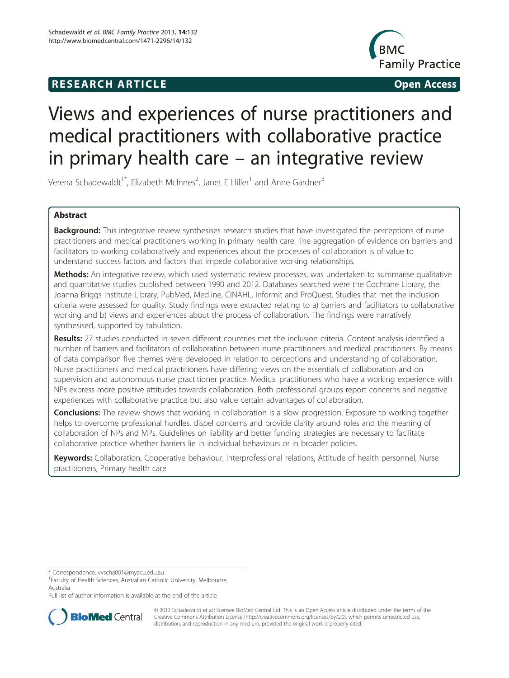## **RESEARCH ARTICLE Example 2018 12:00 Open Access**



# Views and experiences of nurse practitioners and medical practitioners with collaborative practice in primary health care – an integrative review

Verena Schadewaldt<sup>1\*</sup>, Elizabeth McInnes<sup>2</sup>, Janet E Hiller<sup>1</sup> and Anne Gardner<sup>3</sup>

## Abstract

Background: This integrative review synthesises research studies that have investigated the perceptions of nurse practitioners and medical practitioners working in primary health care. The aggregation of evidence on barriers and facilitators to working collaboratively and experiences about the processes of collaboration is of value to understand success factors and factors that impede collaborative working relationships.

Methods: An integrative review, which used systematic review processes, was undertaken to summarise qualitative and quantitative studies published between 1990 and 2012. Databases searched were the Cochrane Library, the Joanna Briggs Institute Library, PubMed, Medline, CINAHL, Informit and ProQuest. Studies that met the inclusion criteria were assessed for quality. Study findings were extracted relating to a) barriers and facilitators to collaborative working and b) views and experiences about the process of collaboration. The findings were narratively synthesised, supported by tabulation.

Results: 27 studies conducted in seven different countries met the inclusion criteria. Content analysis identified a number of barriers and facilitators of collaboration between nurse practitioners and medical practitioners. By means of data comparison five themes were developed in relation to perceptions and understanding of collaboration. Nurse practitioners and medical practitioners have differing views on the essentials of collaboration and on supervision and autonomous nurse practitioner practice. Medical practitioners who have a working experience with NPs express more positive attitudes towards collaboration. Both professional groups report concerns and negative experiences with collaborative practice but also value certain advantages of collaboration.

**Conclusions:** The review shows that working in collaboration is a slow progression. Exposure to working together helps to overcome professional hurdles, dispel concerns and provide clarity around roles and the meaning of collaboration of NPs and MPs. Guidelines on liability and better funding strategies are necessary to facilitate collaborative practice whether barriers lie in individual behaviours or in broader policies.

Keywords: Collaboration, Cooperative behaviour, Interprofessional relations, Attitude of health personnel, Nurse practitioners, Primary health care

\* Correspondence: [vvscha001@myacu.edu.au](mailto:vvscha001@myacu.edu.au) <sup>1</sup>

<sup>1</sup>Faculty of Health Sciences, Australian Catholic University, Melbourne, Australia

Full list of author information is available at the end of the article



© 2013 Schadewaldt et al.; licensee BioMed Central Ltd. This is an Open Access article distributed under the terms of the Creative Commons Attribution License (<http://creativecommons.org/licenses/by/2.0>), which permits unrestricted use, distribution, and reproduction in any medium, provided the original work is properly cited.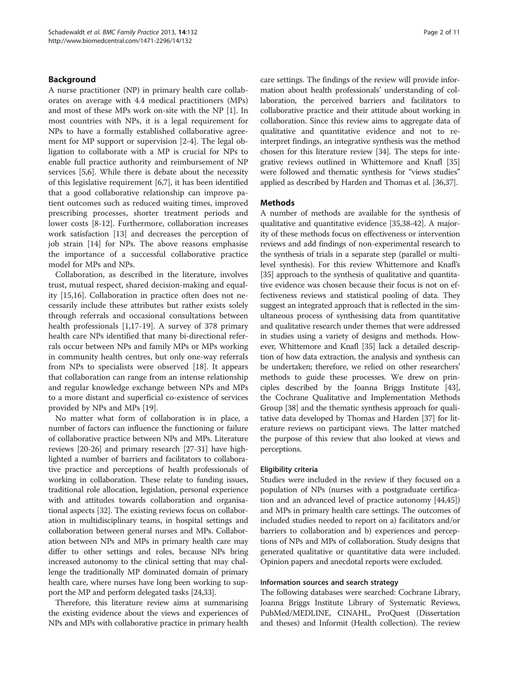## Background

A nurse practitioner (NP) in primary health care collaborates on average with 4.4 medical practitioners (MPs) and most of these MPs work on-site with the NP [\[1](#page-8-0)]. In most countries with NPs, it is a legal requirement for NPs to have a formally established collaborative agreement for MP support or supervision [[2-4\]](#page-8-0). The legal obligation to collaborate with a MP is crucial for NPs to enable full practice authority and reimbursement of NP services [\[5](#page-8-0),[6](#page-8-0)]. While there is debate about the necessity of this legislative requirement [\[6](#page-8-0),[7](#page-8-0)], it has been identified that a good collaborative relationship can improve patient outcomes such as reduced waiting times, improved prescribing processes, shorter treatment periods and lower costs [[8-12\]](#page-8-0). Furthermore, collaboration increases work satisfaction [[13](#page-8-0)] and decreases the perception of job strain [\[14](#page-9-0)] for NPs. The above reasons emphasise the importance of a successful collaborative practice model for MPs and NPs.

Collaboration, as described in the literature, involves trust, mutual respect, shared decision-making and equality [[15,16\]](#page-9-0). Collaboration in practice often does not necessarily include these attributes but rather exists solely through referrals and occasional consultations between health professionals [[1,](#page-8-0)[17-19](#page-9-0)]. A survey of 378 primary health care NPs identified that many bi-directional referrals occur between NPs and family MPs or MPs working in community health centres, but only one-way referrals from NPs to specialists were observed [[18\]](#page-9-0). It appears that collaboration can range from an intense relationship and regular knowledge exchange between NPs and MPs to a more distant and superficial co-existence of services provided by NPs and MPs [[19\]](#page-9-0).

No matter what form of collaboration is in place, a number of factors can influence the functioning or failure of collaborative practice between NPs and MPs. Literature reviews [\[20-26](#page-9-0)] and primary research [[27](#page-9-0)-[31](#page-9-0)] have highlighted a number of barriers and facilitators to collaborative practice and perceptions of health professionals of working in collaboration. These relate to funding issues, traditional role allocation, legislation, personal experience with and attitudes towards collaboration and organisational aspects [[32](#page-9-0)]. The existing reviews focus on collaboration in multidisciplinary teams, in hospital settings and collaboration between general nurses and MPs. Collaboration between NPs and MPs in primary health care may differ to other settings and roles, because NPs bring increased autonomy to the clinical setting that may challenge the traditionally MP dominated domain of primary health care, where nurses have long been working to support the MP and perform delegated tasks [[24,33\]](#page-9-0).

Therefore, this literature review aims at summarising the existing evidence about the views and experiences of NPs and MPs with collaborative practice in primary health care settings. The findings of the review will provide information about health professionals' understanding of collaboration, the perceived barriers and facilitators to collaborative practice and their attitude about working in collaboration. Since this review aims to aggregate data of qualitative and quantitative evidence and not to reinterpret findings, an integrative synthesis was the method chosen for this literature review [[34](#page-9-0)]. The steps for integrative reviews outlined in Whittemore and Knafl [[35](#page-9-0)] were followed and thematic synthesis for "views studies" applied as described by Harden and Thomas et al. [\[36,37\]](#page-9-0).

## Methods

A number of methods are available for the synthesis of qualitative and quantitative evidence [[35,38](#page-9-0)-[42](#page-9-0)]. A majority of these methods focus on effectiveness or intervention reviews and add findings of non-experimental research to the synthesis of trials in a separate step (parallel or multilevel synthesis). For this review Whittemore and Knafl's [[35](#page-9-0)] approach to the synthesis of qualitative and quantitative evidence was chosen because their focus is not on effectiveness reviews and statistical pooling of data. They suggest an integrated approach that is reflected in the simultaneous process of synthesising data from quantitative and qualitative research under themes that were addressed in studies using a variety of designs and methods. However, Whittemore and Knafl [[35](#page-9-0)] lack a detailed description of how data extraction, the analysis and synthesis can be undertaken; therefore, we relied on other researchers' methods to guide these processes. We drew on principles described by the Joanna Briggs Institute [[43](#page-9-0)], the Cochrane Qualitative and Implementation Methods Group [[38](#page-9-0)] and the thematic synthesis approach for qualitative data developed by Thomas and Harden [[37](#page-9-0)] for literature reviews on participant views. The latter matched the purpose of this review that also looked at views and perceptions.

#### Eligibility criteria

Studies were included in the review if they focused on a population of NPs (nurses with a postgraduate certification and an advanced level of practice autonomy [\[44,45](#page-9-0)]) and MPs in primary health care settings. The outcomes of included studies needed to report on a) facilitators and/or barriers to collaboration and b) experiences and perceptions of NPs and MPs of collaboration. Study designs that generated qualitative or quantitative data were included. Opinion papers and anecdotal reports were excluded.

## Information sources and search strategy

The following databases were searched: Cochrane Library, Joanna Briggs Institute Library of Systematic Reviews, PubMed/MEDLINE, CINAHL, ProQuest (Dissertation and theses) and Informit (Health collection). The review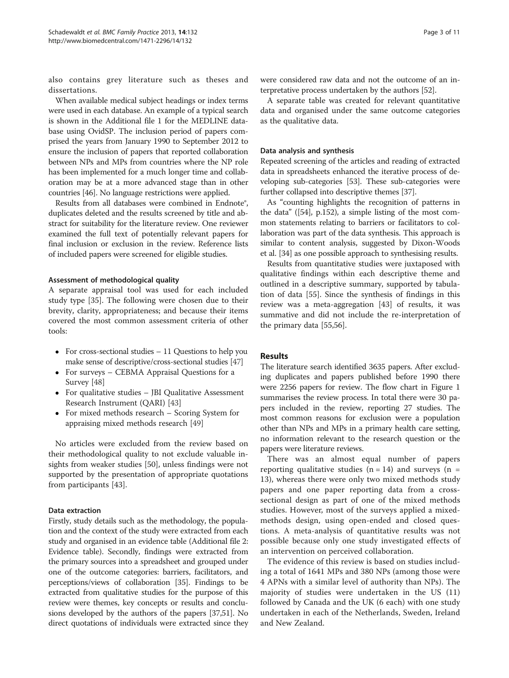also contains grey literature such as theses and dissertations.

When available medical subject headings or index terms were used in each database. An example of a typical search is shown in the Additional file [1](#page-8-0) for the MEDLINE database using OvidSP. The inclusion period of papers comprised the years from January 1990 to September 2012 to ensure the inclusion of papers that reported collaboration between NPs and MPs from countries where the NP role has been implemented for a much longer time and collaboration may be at a more advanced stage than in other countries [\[46\]](#page-9-0). No language restrictions were applied.

Results from all databases were combined in Endnote®, duplicates deleted and the results screened by title and abstract for suitability for the literature review. One reviewer examined the full text of potentially relevant papers for final inclusion or exclusion in the review. Reference lists of included papers were screened for eligible studies.

#### Assessment of methodological quality

A separate appraisal tool was used for each included study type [\[35\]](#page-9-0). The following were chosen due to their brevity, clarity, appropriateness; and because their items covered the most common assessment criteria of other tools:

- For cross-sectional studies  $-11$  Questions to help you make sense of descriptive/cross-sectional studies [\[47\]](#page-9-0)
- For surveys CEBMA Appraisal Questions for a Survey [[48\]](#page-9-0)
- For qualitative studies JBI Qualitative Assessment Research Instrument (QARI) [[43](#page-9-0)]
- For mixed methods research Scoring System for appraising mixed methods research [[49](#page-9-0)]

No articles were excluded from the review based on their methodological quality to not exclude valuable insights from weaker studies [\[50](#page-9-0)], unless findings were not supported by the presentation of appropriate quotations from participants [[43](#page-9-0)].

## Data extraction

Firstly, study details such as the methodology, the population and the context of the study were extracted from each study and organised in an evidence table (Additional file [2](#page-8-0): Evidence table). Secondly, findings were extracted from the primary sources into a spreadsheet and grouped under one of the outcome categories: barriers, facilitators, and perceptions/views of collaboration [[35](#page-9-0)]. Findings to be extracted from qualitative studies for the purpose of this review were themes, key concepts or results and conclusions developed by the authors of the papers [\[37,51](#page-9-0)]. No direct quotations of individuals were extracted since they

were considered raw data and not the outcome of an interpretative process undertaken by the authors [\[52\]](#page-9-0).

A separate table was created for relevant quantitative data and organised under the same outcome categories as the qualitative data.

#### Data analysis and synthesis

Repeated screening of the articles and reading of extracted data in spreadsheets enhanced the iterative process of developing sub-categories [[53](#page-9-0)]. These sub-categories were further collapsed into descriptive themes [[37](#page-9-0)].

As "counting highlights the recognition of patterns in the data" ([\[54\]](#page-9-0), p.152), a simple listing of the most common statements relating to barriers or facilitators to collaboration was part of the data synthesis. This approach is similar to content analysis, suggested by Dixon-Woods et al. [\[34\]](#page-9-0) as one possible approach to synthesising results.

Results from quantitative studies were juxtaposed with qualitative findings within each descriptive theme and outlined in a descriptive summary, supported by tabulation of data [\[55\]](#page-9-0). Since the synthesis of findings in this review was a meta-aggregation [\[43](#page-9-0)] of results, it was summative and did not include the re-interpretation of the primary data [[55,56\]](#page-9-0).

## Results

The literature search identified 3635 papers. After excluding duplicates and papers published before 1990 there were 2256 papers for review. The flow chart in Figure [1](#page-3-0) summarises the review process. In total there were 30 papers included in the review, reporting 27 studies. The most common reasons for exclusion were a population other than NPs and MPs in a primary health care setting, no information relevant to the research question or the papers were literature reviews.

There was an almost equal number of papers reporting qualitative studies  $(n = 14)$  and surveys  $(n = 14)$ 13), whereas there were only two mixed methods study papers and one paper reporting data from a crosssectional design as part of one of the mixed methods studies. However, most of the surveys applied a mixedmethods design, using open-ended and closed questions. A meta-analysis of quantitative results was not possible because only one study investigated effects of an intervention on perceived collaboration.

The evidence of this review is based on studies including a total of 1641 MPs and 380 NPs (among those were 4 APNs with a similar level of authority than NPs). The majority of studies were undertaken in the US (11) followed by Canada and the UK (6 each) with one study undertaken in each of the Netherlands, Sweden, Ireland and New Zealand.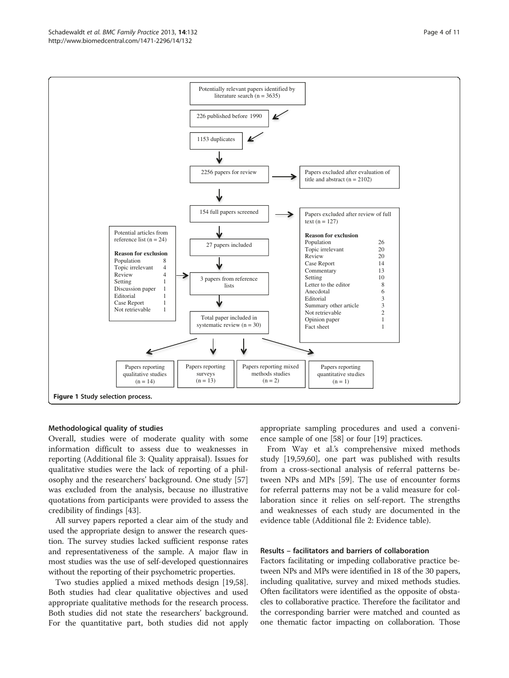<span id="page-3-0"></span>

## Methodological quality of studies

Overall, studies were of moderate quality with some information difficult to assess due to weaknesses in reporting (Additional file [3:](#page-8-0) Quality appraisal). Issues for qualitative studies were the lack of reporting of a philosophy and the researchers' background. One study [[57](#page-9-0)] was excluded from the analysis, because no illustrative quotations from participants were provided to assess the credibility of findings [[43\]](#page-9-0).

All survey papers reported a clear aim of the study and used the appropriate design to answer the research question. The survey studies lacked sufficient response rates and representativeness of the sample. A major flaw in most studies was the use of self-developed questionnaires without the reporting of their psychometric properties.

Two studies applied a mixed methods design [\[19,58](#page-9-0)]. Both studies had clear qualitative objectives and used appropriate qualitative methods for the research process. Both studies did not state the researchers' background. For the quantitative part, both studies did not apply appropriate sampling procedures and used a convenience sample of one [[58\]](#page-9-0) or four [\[19](#page-9-0)] practices.

From Way et al.'s comprehensive mixed methods study [\[19,59,60](#page-9-0)], one part was published with results from a cross-sectional analysis of referral patterns between NPs and MPs [\[59](#page-9-0)]. The use of encounter forms for referral patterns may not be a valid measure for collaboration since it relies on self-report. The strengths and weaknesses of each study are documented in the evidence table (Additional file [2](#page-8-0): Evidence table).

## Results – facilitators and barriers of collaboration

Factors facilitating or impeding collaborative practice between NPs and MPs were identified in 18 of the 30 papers, including qualitative, survey and mixed methods studies. Often facilitators were identified as the opposite of obstacles to collaborative practice. Therefore the facilitator and the corresponding barrier were matched and counted as one thematic factor impacting on collaboration. Those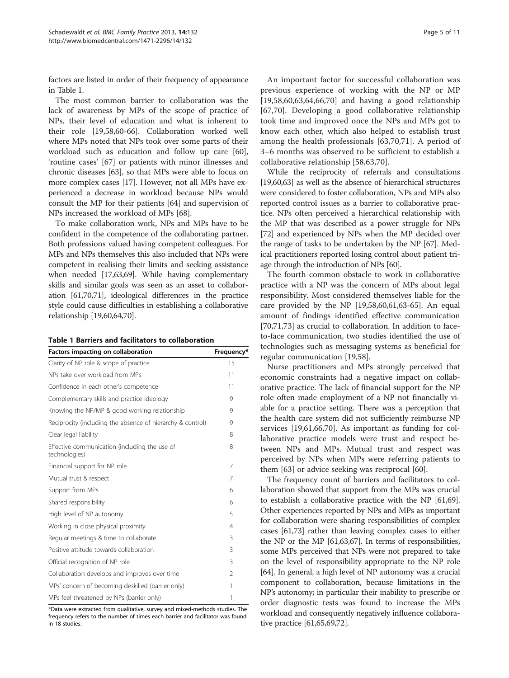factors are listed in order of their frequency of appearance in Table 1.

The most common barrier to collaboration was the lack of awareness by MPs of the scope of practice of NPs, their level of education and what is inherent to their role [\[19,58,60](#page-9-0)[-66](#page-10-0)]. Collaboration worked well where MPs noted that NPs took over some parts of their workload such as education and follow up care [\[60](#page-9-0)], 'routine cases' [\[67\]](#page-10-0) or patients with minor illnesses and chronic diseases [[63\]](#page-9-0), so that MPs were able to focus on more complex cases [\[17\]](#page-9-0). However, not all MPs have experienced a decrease in workload because NPs would consult the MP for their patients [[64](#page-9-0)] and supervision of NPs increased the workload of MPs [[68](#page-10-0)].

To make collaboration work, NPs and MPs have to be confident in the competence of the collaborating partner. Both professions valued having competent colleagues. For MPs and NPs themselves this also included that NPs were competent in realising their limits and seeking assistance when needed [[17,63](#page-9-0)[,69\]](#page-10-0). While having complementary skills and similar goals was seen as an asset to collaboration [[61](#page-9-0)[,70,71\]](#page-10-0), ideological differences in the practice style could cause difficulties in establishing a collaborative relationship [\[19,60,64](#page-9-0)[,70\]](#page-10-0).

|  |  |  | Table 1 Barriers and facilitators to collaboration |  |  |  |
|--|--|--|----------------------------------------------------|--|--|--|
|--|--|--|----------------------------------------------------|--|--|--|

| Factors impacting on collaboration                             | Frequency*     |  |
|----------------------------------------------------------------|----------------|--|
| Clarity of NP role & scope of practice                         | 15             |  |
| NPs take over workload from MPs                                | 11             |  |
| Confidence in each other's competence                          | 11             |  |
| Complementary skills and practice ideology                     | 9              |  |
| Knowing the NP/MP & good working relationship                  | 9              |  |
| Reciprocity (including the absence of hierarchy & control)     | 9              |  |
| Clear legal liability                                          | 8              |  |
| Effective communication (including the use of<br>technologies) | 8              |  |
| Financial support for NP role                                  | 7              |  |
| Mutual trust & respect                                         | 7              |  |
| Support from MPs                                               | 6              |  |
| Shared responsibility                                          | 6              |  |
| High level of NP autonomy                                      | 5              |  |
| Working in close physical proximity                            | 4              |  |
| Regular meetings & time to collaborate                         | 3              |  |
| Positive attitude towards collaboration                        | 3              |  |
| Official recognition of NP role                                | 3              |  |
| Collaboration develops and improves over time                  | $\mathfrak{D}$ |  |
| MPs' concern of becoming deskilled (barrier only)              | 1              |  |
| MPs feel threatened by NPs (barrier only)                      | 1              |  |

\*Data were extracted from qualitative, survey and mixed-methods studies. The frequency refers to the number of times each barrier and facilitator was found in 18 studies.

An important factor for successful collaboration was previous experience of working with the NP or MP [[19,58](#page-9-0),[60,63,64](#page-9-0)[,66](#page-10-0),[70\]](#page-10-0) and having a good relationship [[67,70](#page-10-0)]. Developing a good collaborative relationship took time and improved once the NPs and MPs got to know each other, which also helped to establish trust among the health professionals [[63,](#page-9-0)[70,71](#page-10-0)]. A period of 3–6 months was observed to be sufficient to establish a collaborative relationship [[58,63](#page-9-0)[,70](#page-10-0)].

While the reciprocity of referrals and consultations [[19,60,63\]](#page-9-0) as well as the absence of hierarchical structures were considered to foster collaboration, NPs and MPs also reported control issues as a barrier to collaborative practice. NPs often perceived a hierarchical relationship with the MP that was described as a power struggle for NPs [[72](#page-10-0)] and experienced by NPs when the MP decided over the range of tasks to be undertaken by the NP [[67](#page-10-0)]. Medical practitioners reported losing control about patient triage through the introduction of NPs [\[60](#page-9-0)].

The fourth common obstacle to work in collaborative practice with a NP was the concern of MPs about legal responsibility. Most considered themselves liable for the care provided by the NP [[19,58,60,61,63-](#page-9-0)[65\]](#page-10-0). An equal amount of findings identified effective communication [[70,71,73\]](#page-10-0) as crucial to collaboration. In addition to faceto-face communication, two studies identified the use of technologies such as messaging systems as beneficial for regular communication [[19,58](#page-9-0)].

Nurse practitioners and MPs strongly perceived that economic constraints had a negative impact on collaborative practice. The lack of financial support for the NP role often made employment of a NP not financially viable for a practice setting. There was a perception that the health care system did not sufficiently reimburse NP services [[19,61,](#page-9-0)[66,70\]](#page-10-0). As important as funding for collaborative practice models were trust and respect between NPs and MPs. Mutual trust and respect was perceived by NPs when MPs were referring patients to them [[63\]](#page-9-0) or advice seeking was reciprocal [[60\]](#page-9-0).

The frequency count of barriers and facilitators to collaboration showed that support from the MPs was crucial to establish a collaborative practice with the NP [\[61,](#page-9-0)[69](#page-10-0)]. Other experiences reported by NPs and MPs as important for collaboration were sharing responsibilities of complex cases [\[61,](#page-9-0)[73](#page-10-0)] rather than leaving complex cases to either the NP or the MP [\[61,63](#page-9-0),[67](#page-10-0)]. In terms of responsibilities, some MPs perceived that NPs were not prepared to take on the level of responsibility appropriate to the NP role [[64](#page-9-0)]. In general, a high level of NP autonomy was a crucial component to collaboration, because limitations in the NP's autonomy; in particular their inability to prescribe or order diagnostic tests was found to increase the MPs workload and consequently negatively influence collaborative practice [[61](#page-9-0)[,65,69,72](#page-10-0)].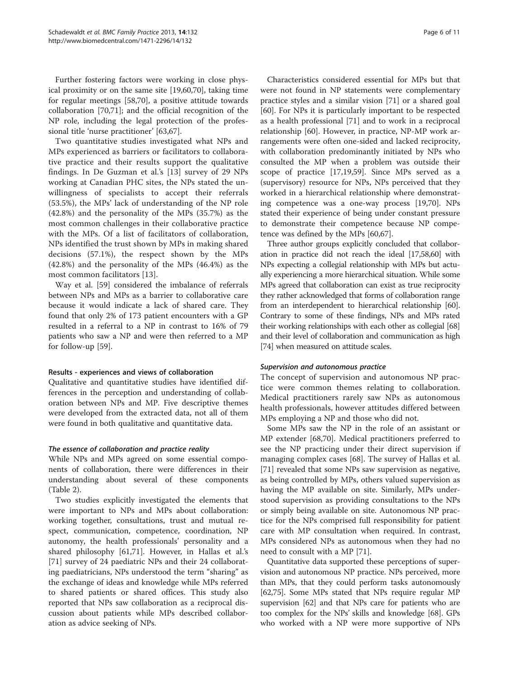Further fostering factors were working in close physical proximity or on the same site [[19,60,](#page-9-0)[70\]](#page-10-0), taking time for regular meetings [[58](#page-9-0),[70](#page-10-0)], a positive attitude towards collaboration [\[70,71](#page-10-0)]; and the official recognition of the NP role, including the legal protection of the professional title 'nurse practitioner' [[63,](#page-9-0)[67\]](#page-10-0).

Two quantitative studies investigated what NPs and MPs experienced as barriers or facilitators to collaborative practice and their results support the qualitative findings. In De Guzman et al.'s [[13\]](#page-8-0) survey of 29 NPs working at Canadian PHC sites, the NPs stated the unwillingness of specialists to accept their referrals (53.5%), the MPs' lack of understanding of the NP role (42.8%) and the personality of the MPs (35.7%) as the most common challenges in their collaborative practice with the MPs. Of a list of facilitators of collaboration, NPs identified the trust shown by MPs in making shared decisions (57.1%), the respect shown by the MPs (42.8%) and the personality of the MPs (46.4%) as the most common facilitators [\[13](#page-8-0)].

Way et al. [\[59\]](#page-9-0) considered the imbalance of referrals between NPs and MPs as a barrier to collaborative care because it would indicate a lack of shared care. They found that only 2% of 173 patient encounters with a GP resulted in a referral to a NP in contrast to 16% of 79 patients who saw a NP and were then referred to a MP for follow-up [[59](#page-9-0)].

## Results - experiences and views of collaboration

Qualitative and quantitative studies have identified differences in the perception and understanding of collaboration between NPs and MP. Five descriptive themes were developed from the extracted data, not all of them were found in both qualitative and quantitative data.

## The essence of collaboration and practice reality

While NPs and MPs agreed on some essential components of collaboration, there were differences in their understanding about several of these components (Table [2\)](#page-6-0).

Two studies explicitly investigated the elements that were important to NPs and MPs about collaboration: working together, consultations, trust and mutual respect, communication, competence, coordination, NP autonomy, the health professionals' personality and a shared philosophy [\[61](#page-9-0)[,71](#page-10-0)]. However, in Hallas et al.'s [[71\]](#page-10-0) survey of 24 paediatric NPs and their 24 collaborating paediatricians, NPs understood the term "sharing" as the exchange of ideas and knowledge while MPs referred to shared patients or shared offices. This study also reported that NPs saw collaboration as a reciprocal discussion about patients while MPs described collaboration as advice seeking of NPs.

Characteristics considered essential for MPs but that were not found in NP statements were complementary practice styles and a similar vision [[71\]](#page-10-0) or a shared goal [[60\]](#page-9-0). For NPs it is particularly important to be respected as a health professional [\[71](#page-10-0)] and to work in a reciprocal relationship [\[60](#page-9-0)]. However, in practice, NP-MP work arrangements were often one-sided and lacked reciprocity, with collaboration predominantly initiated by NPs who consulted the MP when a problem was outside their scope of practice [[17,19,59](#page-9-0)]. Since MPs served as a (supervisory) resource for NPs, NPs perceived that they worked in a hierarchical relationship where demonstrating competence was a one-way process [[19,](#page-9-0)[70\]](#page-10-0). NPs stated their experience of being under constant pressure to demonstrate their competence because NP competence was defined by the MPs [\[60](#page-9-0)[,67](#page-10-0)].

Three author groups explicitly concluded that collaboration in practice did not reach the ideal [\[17,58,60\]](#page-9-0) with NPs expecting a collegial relationship with MPs but actually experiencing a more hierarchical situation. While some MPs agreed that collaboration can exist as true reciprocity they rather acknowledged that forms of collaboration range from an interdependent to hierarchical relationship [\[60](#page-9-0)]. Contrary to some of these findings, NPs and MPs rated their working relationships with each other as collegial [[68](#page-10-0)] and their level of collaboration and communication as high [[74](#page-10-0)] when measured on attitude scales.

## Supervision and autonomous practice

The concept of supervision and autonomous NP practice were common themes relating to collaboration. Medical practitioners rarely saw NPs as autonomous health professionals, however attitudes differed between MPs employing a NP and those who did not.

Some MPs saw the NP in the role of an assistant or MP extender [[68,70\]](#page-10-0). Medical practitioners preferred to see the NP practicing under their direct supervision if managing complex cases [\[68](#page-10-0)]. The survey of Hallas et al. [[71\]](#page-10-0) revealed that some NPs saw supervision as negative, as being controlled by MPs, others valued supervision as having the MP available on site. Similarly, MPs understood supervision as providing consultations to the NPs or simply being available on site. Autonomous NP practice for the NPs comprised full responsibility for patient care with MP consultation when required. In contrast, MPs considered NPs as autonomous when they had no need to consult with a MP [[71\]](#page-10-0).

Quantitative data supported these perceptions of supervision and autonomous NP practice. NPs perceived, more than MPs, that they could perform tasks autonomously [[62](#page-9-0)[,75](#page-10-0)]. Some MPs stated that NPs require regular MP supervision [\[62](#page-9-0)] and that NPs care for patients who are too complex for the NPs' skills and knowledge [[68](#page-10-0)]. GPs who worked with a NP were more supportive of NPs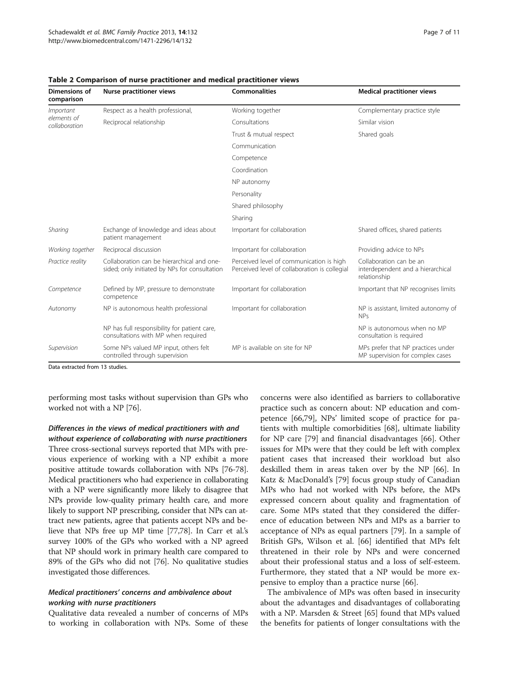| Dimensions of<br>comparison               | <b>Nurse practitioner views</b>                                                             | <b>Commonalities</b>                                                                      | <b>Medical practitioner views</b>                                            |  |
|-------------------------------------------|---------------------------------------------------------------------------------------------|-------------------------------------------------------------------------------------------|------------------------------------------------------------------------------|--|
| Important<br>elements of<br>collaboration | Respect as a health professional,                                                           | Working together                                                                          | Complementary practice style                                                 |  |
|                                           | Reciprocal relationship                                                                     | Consultations                                                                             | Similar vision                                                               |  |
|                                           |                                                                                             | Trust & mutual respect                                                                    | Shared goals                                                                 |  |
|                                           |                                                                                             | Communication                                                                             |                                                                              |  |
|                                           |                                                                                             | Competence                                                                                |                                                                              |  |
|                                           |                                                                                             | Coordination                                                                              |                                                                              |  |
|                                           |                                                                                             | NP autonomy                                                                               |                                                                              |  |
|                                           |                                                                                             | Personality                                                                               |                                                                              |  |
|                                           |                                                                                             | Shared philosophy                                                                         |                                                                              |  |
|                                           |                                                                                             | Sharing                                                                                   |                                                                              |  |
| Sharing                                   | Exchange of knowledge and ideas about<br>patient management                                 | Important for collaboration                                                               | Shared offices, shared patients                                              |  |
| Working together                          | Reciprocal discussion                                                                       | Important for collaboration                                                               | Providing advice to NPs                                                      |  |
| Practice reality                          | Collaboration can be hierarchical and one-<br>sided; only initiated by NPs for consultation | Perceived level of communication is high<br>Perceived level of collaboration is collegial | Collaboration can be an<br>interdependent and a hierarchical<br>relationship |  |
| Competence                                | Defined by MP, pressure to demonstrate<br>competence                                        | Important for collaboration                                                               | Important that NP recognises limits                                          |  |
| Autonomy                                  | NP is autonomous health professional                                                        | Important for collaboration                                                               | NP is assistant, limited autonomy of<br><b>NPs</b>                           |  |
|                                           | NP has full responsibility for patient care,<br>consultations with MP when required         |                                                                                           | NP is autonomous when no MP<br>consultation is required                      |  |
| Supervision                               | Some NPs valued MP input, others felt<br>controlled through supervision                     | MP is available on site for NP                                                            | MPs prefer that NP practices under<br>MP supervision for complex cases       |  |

<span id="page-6-0"></span>Table 2 Comparison of nurse practitioner and medical practitioner views

Data extracted from 13 studies.

performing most tasks without supervision than GPs who worked not with a NP [[76](#page-10-0)].

Differences in the views of medical practitioners with and without experience of collaborating with nurse practitioners Three cross-sectional surveys reported that MPs with previous experience of working with a NP exhibit a more positive attitude towards collaboration with NPs [[76](#page-10-0)-[78](#page-10-0)]. Medical practitioners who had experience in collaborating with a NP were significantly more likely to disagree that NPs provide low-quality primary health care, and more likely to support NP prescribing, consider that NPs can attract new patients, agree that patients accept NPs and believe that NPs free up MP time [[77,78\]](#page-10-0). In Carr et al.'s survey 100% of the GPs who worked with a NP agreed that NP should work in primary health care compared to 89% of the GPs who did not [\[76\]](#page-10-0). No qualitative studies investigated those differences.

## Medical practitioners' concerns and ambivalence about working with nurse practitioners

Qualitative data revealed a number of concerns of MPs to working in collaboration with NPs. Some of these

concerns were also identified as barriers to collaborative practice such as concern about: NP education and competence [[66,79\]](#page-10-0), NPs' limited scope of practice for patients with multiple comorbidities [[68](#page-10-0)], ultimate liability for NP care [[79\]](#page-10-0) and financial disadvantages [[66](#page-10-0)]. Other issues for MPs were that they could be left with complex patient cases that increased their workload but also deskilled them in areas taken over by the NP [\[66\]](#page-10-0). In Katz & MacDonald's [[79\]](#page-10-0) focus group study of Canadian MPs who had not worked with NPs before, the MPs expressed concern about quality and fragmentation of care. Some MPs stated that they considered the difference of education between NPs and MPs as a barrier to acceptance of NPs as equal partners [[79](#page-10-0)]. In a sample of British GPs, Wilson et al. [\[66\]](#page-10-0) identified that MPs felt threatened in their role by NPs and were concerned about their professional status and a loss of self-esteem. Furthermore, they stated that a NP would be more expensive to employ than a practice nurse [\[66](#page-10-0)].

The ambivalence of MPs was often based in insecurity about the advantages and disadvantages of collaborating with a NP. Marsden & Street [[65](#page-10-0)] found that MPs valued the benefits for patients of longer consultations with the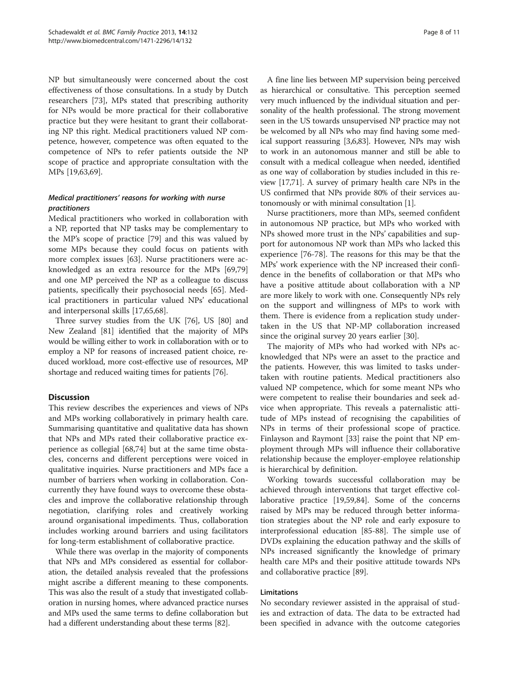NP but simultaneously were concerned about the cost effectiveness of those consultations. In a study by Dutch researchers [[73](#page-10-0)], MPs stated that prescribing authority for NPs would be more practical for their collaborative practice but they were hesitant to grant their collaborating NP this right. Medical practitioners valued NP competence, however, competence was often equated to the competence of NPs to refer patients outside the NP scope of practice and appropriate consultation with the MPs [\[19,63,](#page-9-0)[69\]](#page-10-0).

## Medical practitioners' reasons for working with nurse practitioners

Medical practitioners who worked in collaboration with a NP, reported that NP tasks may be complementary to the MP's scope of practice [\[79\]](#page-10-0) and this was valued by some MPs because they could focus on patients with more complex issues [[63](#page-9-0)]. Nurse practitioners were acknowledged as an extra resource for the MPs [[69](#page-10-0),[79](#page-10-0)] and one MP perceived the NP as a colleague to discuss patients, specifically their psychosocial needs [[65](#page-10-0)]. Medical practitioners in particular valued NPs' educational and interpersonal skills [[17](#page-9-0),[65](#page-10-0),[68](#page-10-0)].

Three survey studies from the UK [\[76\]](#page-10-0), US [\[80\]](#page-10-0) and New Zealand [[81](#page-10-0)] identified that the majority of MPs would be willing either to work in collaboration with or to employ a NP for reasons of increased patient choice, reduced workload, more cost-effective use of resources, MP shortage and reduced waiting times for patients [\[76\]](#page-10-0).

## **Discussion**

This review describes the experiences and views of NPs and MPs working collaboratively in primary health care. Summarising quantitative and qualitative data has shown that NPs and MPs rated their collaborative practice experience as collegial [\[68,74](#page-10-0)] but at the same time obstacles, concerns and different perceptions were voiced in qualitative inquiries. Nurse practitioners and MPs face a number of barriers when working in collaboration. Concurrently they have found ways to overcome these obstacles and improve the collaborative relationship through negotiation, clarifying roles and creatively working around organisational impediments. Thus, collaboration includes working around barriers and using facilitators for long-term establishment of collaborative practice.

While there was overlap in the majority of components that NPs and MPs considered as essential for collaboration, the detailed analysis revealed that the professions might ascribe a different meaning to these components. This was also the result of a study that investigated collaboration in nursing homes, where advanced practice nurses and MPs used the same terms to define collaboration but had a different understanding about these terms [\[82\]](#page-10-0).

A fine line lies between MP supervision being perceived as hierarchical or consultative. This perception seemed very much influenced by the individual situation and personality of the health professional. The strong movement seen in the US towards unsupervised NP practice may not be welcomed by all NPs who may find having some medical support reassuring [\[3,6](#page-8-0)[,83\]](#page-10-0). However, NPs may wish to work in an autonomous manner and still be able to consult with a medical colleague when needed, identified as one way of collaboration by studies included in this review [\[17](#page-9-0)[,71\]](#page-10-0). A survey of primary health care NPs in the US confirmed that NPs provide 80% of their services autonomously or with minimal consultation [[1](#page-8-0)].

Nurse practitioners, more than MPs, seemed confident in autonomous NP practice, but MPs who worked with NPs showed more trust in the NPs' capabilities and support for autonomous NP work than MPs who lacked this experience [[76-78](#page-10-0)]. The reasons for this may be that the MPs' work experience with the NP increased their confidence in the benefits of collaboration or that MPs who have a positive attitude about collaboration with a NP are more likely to work with one. Consequently NPs rely on the support and willingness of MPs to work with them. There is evidence from a replication study undertaken in the US that NP-MP collaboration increased since the original survey 20 years earlier [\[30](#page-9-0)].

The majority of MPs who had worked with NPs acknowledged that NPs were an asset to the practice and the patients. However, this was limited to tasks undertaken with routine patients. Medical practitioners also valued NP competence, which for some meant NPs who were competent to realise their boundaries and seek advice when appropriate. This reveals a paternalistic attitude of MPs instead of recognising the capabilities of NPs in terms of their professional scope of practice. Finlayson and Raymont [\[33\]](#page-9-0) raise the point that NP employment through MPs will influence their collaborative relationship because the employer-employee relationship is hierarchical by definition.

Working towards successful collaboration may be achieved through interventions that target effective collaborative practice [\[19,59,](#page-9-0)[84\]](#page-10-0). Some of the concerns raised by MPs may be reduced through better information strategies about the NP role and early exposure to interprofessional education [[85-88](#page-10-0)]. The simple use of DVDs explaining the education pathway and the skills of NPs increased significantly the knowledge of primary health care MPs and their positive attitude towards NPs and collaborative practice [[89\]](#page-10-0).

## Limitations

No secondary reviewer assisted in the appraisal of studies and extraction of data. The data to be extracted had been specified in advance with the outcome categories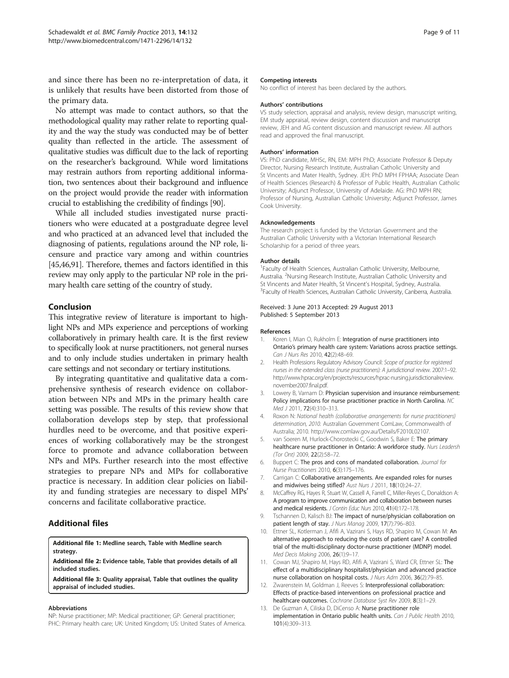<span id="page-8-0"></span>and since there has been no re-interpretation of data, it is unlikely that results have been distorted from those of the primary data.

No attempt was made to contact authors, so that the methodological quality may rather relate to reporting quality and the way the study was conducted may be of better quality than reflected in the article. The assessment of qualitative studies was difficult due to the lack of reporting on the researcher's background. While word limitations may restrain authors from reporting additional information, two sentences about their background and influence on the project would provide the reader with information crucial to establishing the credibility of findings [\[90](#page-10-0)].

While all included studies investigated nurse practitioners who were educated at a postgraduate degree level and who practiced at an advanced level that included the diagnosing of patients, regulations around the NP role, licensure and practice vary among and within countries [[45,46](#page-9-0)[,91\]](#page-10-0). Therefore, themes and factors identified in this review may only apply to the particular NP role in the primary health care setting of the country of study.

## Conclusion

This integrative review of literature is important to highlight NPs and MPs experience and perceptions of working collaboratively in primary health care. It is the first review to specifically look at nurse practitioners, not general nurses and to only include studies undertaken in primary health care settings and not secondary or tertiary institutions.

By integrating quantitative and qualitative data a comprehensive synthesis of research evidence on collaboration between NPs and MPs in the primary health care setting was possible. The results of this review show that collaboration develops step by step, that professional hurdles need to be overcome, and that positive experiences of working collaboratively may be the strongest force to promote and advance collaboration between NPs and MPs. Further research into the most effective strategies to prepare NPs and MPs for collaborative practice is necessary. In addition clear policies on liability and funding strategies are necessary to dispel MPs' concerns and facilitate collaborative practice.

## Additional files

[Additional file 1:](http://www.biomedcentral.com/content/supplementary/1471-2296-14-132-S1.pdf) Medline search, Table with Medline search strategy.

[Additional file 2:](http://www.biomedcentral.com/content/supplementary/1471-2296-14-132-S2.pdf) Evidence table, Table that provides details of all included studies.

[Additional file 3:](http://www.biomedcentral.com/content/supplementary/1471-2296-14-132-S3.pdf) Quality appraisal, Table that outlines the quality appraisal of included studies.

#### Abbreviations

NP: Nurse practitioner; MP: Medical practitioner; GP: General practitioner; PHC: Primary health care; UK: United Kingdom; US: United States of America.

#### Competing interests

No conflict of interest has been declared by the authors.

#### Authors' contributions

VS study selection, appraisal and analysis, review design, manuscript writing, EM study appraisal, review design, content discussion and manuscript review, JEH and AG content discussion and manuscript review. All authors read and approved the final manuscript.

#### Authors' information

VS: PhD candidate, MHSc, RN, EM: MPH PhD; Associate Professor & Deputy Director, Nursing Research Institute, Australian Catholic University and St Vincents and Mater Health, Sydney. JEH: PhD MPH FPHAA; Associate Dean of Health Sciences (Research) & Professor of Public Health, Australian Catholic University; Adjunct Professor, University of Adelaide. AG: PhD MPH RN; Professor of Nursing, Australian Catholic University; Adjunct Professor, James Cook University.

#### Acknowledgements

The research project is funded by the Victorian Government and the Australian Catholic University with a Victorian International Research Scholarship for a period of three years.

#### Author details

<sup>1</sup> Faculty of Health Sciences, Australian Catholic University, Melbourne, Australia. <sup>2</sup>Nursing Research Institute, Australian Catholic University and St Vincents and Mater Health, St Vincent's Hospital, Sydney, Australia. <sup>3</sup> Faculty of Health Sciences, Australian Catholic University, Canberra, Australia.

#### Received: 3 June 2013 Accepted: 29 August 2013 Published: 5 September 2013

#### References

- 1. Koren I, Mian O, Rukholm E: Integration of nurse practitioners into Ontario's primary health care system: Variations across practice settings. Can J Nurs Res 2010, 42(2):48–69.
- 2. Health Professions Regulatory Advisory Council: Scope of practice for registered nurses in the extended class (nurse practitioners): A jurisdictional review. 2007:1–92. [http://www.hprac.org/en/projects/resources/hprac-nursing.jurisdictionalreview.](http://www.hprac.org/en/projects/resources/hprac-nursing.jurisdictionalreview.november2007.final.pdf) [november2007.final.pdf.](http://www.hprac.org/en/projects/resources/hprac-nursing.jurisdictionalreview.november2007.final.pdf)
- 3. Lowery B, Varnam D: Physician supervision and insurance reimbursement: Policy implications for nurse practitioner practice in North Carolina. NC Med J 2011, 72(4):310–313.
- 4. Roxon N: National health (collaborative arrangements for nurse practitioners) determination, 2010. Australian Government ComLaw, Commonwealth of Australia; 2010.<http://www.comlaw.gov.au/Details/F2010L02107>.
- 5. van Soeren M, Hurlock-Chorostecki C, Goodwin S, Baker E: The primary healthcare nurse practitioner in Ontario: A workforce study. Nurs Leadersh (Tor Ont) 2009, 22(2):58–72.
- 6. Buppert C: The pros and cons of mandated collaboration. Journal for Nurse Practitioners 2010, 6(3):175–176.
- 7. Carrigan C: Collaborative arrangements. Are expanded roles for nurses and midwives being stifled? Aust Nurs J 2011, 18(10):24–27.
- 8. McCaffrey RG, Hayes R, Stuart W, Cassell A, Farrell C, Miller-Reyes C, Donaldson A: A program to improve communication and collaboration between nurses and medical residents. J Contin Educ Nurs 2010, 41(4):172-178.
- 9. Tschannen D, Kalisch BJ: The impact of nurse/physician collaboration on patient length of stay. J Nurs Manag 2009, 17(7):796-803.
- 10. Ettner SL, Kotlerman J, Afifi A, Vazirani S, Hays RD, Shapiro M, Cowan M: An alternative approach to reducing the costs of patient care? A controlled trial of the multi-disciplinary doctor-nurse practitioner (MDNP) model. Med Decis Making 2006, 26(1):9–17.
- 11. Cowan MJ, Shapiro M, Hays RD, Afifi A, Vazirani S, Ward CR, Ettner SL: The effect of a multidisciplinary hospitalist/physician and advanced practice nurse collaboration on hospital costs. J Nurs Adm 2006, 36(2):79–85.
- 12. Zwarenstein M, Goldman J, Reeves S: Interprofessional collaboration: Effects of practice-based interventions on professional practice and healthcare outcomes. Cochrane Database Syst Rev 2009, 8(3):1–29.
- 13. De Guzman A, Ciliska D, DiCenso A: Nurse practitioner role implementation in Ontario public health units. Can J Public Health 2010, 101(4):309–313.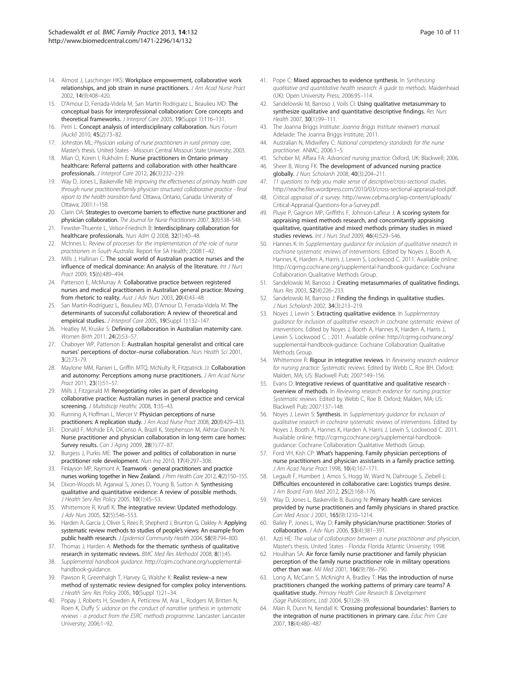- <span id="page-9-0"></span>14. Almost J, Laschinger HKS: Workplace empowerment, collaborative work relationships, and job strain in nurse practitioners. J Am Acad Nurse Pract 2002, 14(9):408–420.
- 15. D'Amour D, Ferrada-Videla M, San Martin Rodriguez L, Beaulieu MD: The conceptual basis for interprofessional collaboration: Core concepts and theoretical frameworks. J Interprof Care 2005, 19(Suppl 1):116-131.
- 16. Petri L: Concept analysis of interdisciplinary collaboration. Nurs Forum (Auckl) 2010, 45(2):73–82.
- 17. Johnston ML: Physician valuing of nurse practitioners in rural primary care, Master's thesis. United States - Missouri: Central Missouri State University; 2003.
- 18. Mian O, Koren I, Rukholm E: Nurse practitioners in Ontario primary healthcare: Referral patterns and collaboration with other healthcare professionals. J Interprof Care 2012, 26(3):232–239.
- 19. Way D, Jones L, Baskerville NB: Improving the effectiveness of primary health care through nurse practitioner/family physician structured collaborative practice - final report to the health transition fund. Ottawa, Ontario, Canada: University of Ottawa; 2001:1–158.
- 20. Clarin OA: Strategies to overcome barriers to effective nurse practitioner and physician collaboration. The Journal for Nurse Practitioners 2007, 3(8):538–548.
- 21. Fewster-Thuente L, Velsor-Friedrich B: Interdisciplinary collaboration for healthcare professionals. Nurs Adm Q 2008, 32(1):40-48.
- 22. McInnes L: Review of processes for the implementation of the role of nurse practitioners in South Australia. Report for SA Health; 2008:1–42.
- 23. Mills J, Hallinan C: The social world of Australian practice nurses and the influence of medical dominance: An analysis of the literature. Int J Nurs Pract 2009, 15(6):489–494.
- 24. Patterson E, McMurray A: Collaborative practice between registered nurses and medical practitioners in Australian general practice: Moving from rhetoric to reality. Aust J Adv Nurs 2003, 20(4):43-48.
- 25. San Martín-Rodríguez L, Beaulieu MD, D'Amour D, Ferrada-Videla M: The determinants of successful collaboration: A review of theoretical and empirical studies. J Interprof Care 2005, 19(Suppl 1):132-147.
- 26. Heatley M, Kruske S: Defining collaboration in Australian maternity care. Women Birth 2011, 24(2):53–57.
- 27. Chaboyer WP, Patterson E: Australian hospital generalist and critical care nurses' perceptions of doctor–nurse collaboration. Nurs Health Sci 2001, 3(2):73–79.
- 28. Maylone MM, Ranieri L, Griffin MTQ, McNulty R, Fitzpatrick JJ: Collaboration and autonomy: Perceptions among nurse practitioners. J Am Acad Nurse Pract 2011, 23(1):51–57.
- 29. Mills J, Fitzgerald M: Renegotiating roles as part of developing collaborative practice: Australian nurses in general practice and cervical screening. J Multidiscip Healthc 2008, 1:35-43.
- 30. Running A, Hoffman L, Mercer V: Physician perceptions of nurse practitioners: A replication study. J Am Acad Nurse Pract 2008, 20(8):429-433.
- 31. Donald F, Mohide EA, DiCenso A, Brazil K, Stephenson M, Akhtar-Danesh N: Nurse practitioner and physician collaboration in long-term care homes: Survey results. Can J Aging 2009, 28(1):77–87.
- 32. Burgess J, Purkis ME: The power and politics of collaboration in nurse practitioner role development. Nurs Inq 2010, 17(4):297–308.
- 33. Finlayson MP, Raymont A: Teamwork general practitioners and practice nurses working together in New Zealand. J Prim Health Care 2012, 4(2):150–155.
- 34. Dixon-Woods M, Agarwal S, Jones D, Young B, Sutton A: Synthesising qualitative and quantitative evidence: A review of possible methods. J Health Serv Res Policy 2005, 10(1):45–53.
- 35. Whittemore R, Knafl K: The integrative review: Updated methodology. J Adv Nurs 2005, 52(5):546-553.
- 36. Harden A, Garcia J, Oliver S, Rees R, Shepherd J, Brunton G, Oakley A: Applying systematic review methods to studies of people's views: An example from public health research. J Epidemiol Community Health 2004, 58(9):794–800.
- 37. Thomas J, Harden A: Methods for the thematic synthesis of qualitative research in systematic reviews. BMC Med Res Methodol 2008, 8(1):45.
- 38. Supplemental handbook guidance. [http://cqim.cochrane.org/supplemental](http://cqim.cochrane.org/supplemental-handbook-guidance)[handbook-guidance](http://cqim.cochrane.org/supplemental-handbook-guidance).
- 39. Pawson R, Greenhalgh T, Harvey G, Walshe K: Realist review-a new method of systematic review designed for complex policy interventions. J Health Serv Res Policy 2005, 10(Suppl 1):21–34.
- 40. Popay J, Roberts H, Sowden A, Petticrew M, Arai L, Rodgers M, Britten N, Roen K, Duffy S: uidance on the conduct of narrative synthesis in systematic reviews - a product from the ESRC methods programme. Lancaster: Lancaster University; 2006:1–92.
- 
- 41. Pope C: Mixed approaches to evidence synthesis. In Synthesising qualitative and quantitative health research: A guide to methods. Maidenhead (UK): Open University Press; 2006:95–114.
- 42. Sandelowski M, Barroso J, Voils CI: Using qualitative metasummary to synthesize qualitative and quantitative descriptive findings. Res Nurs Health 2007, 30(1):99–111.
- 43. The Joanna Briggs Institute: Joanna Briggs Institute reviewer's manual. Adelaide: The Joanna Briggs Institute; 2011.
- 44. Australian N, Midwifery C: National competency standards for the nurse practitioner. ANMC; 2006:1–5.
- 45. Schober M, Affara FA: Advanced nursing practice. Oxford, UK: Blackwell; 2006.
- 46. Sheer B, Wong FK: The development of advanced nursing practice globally. J Nurs Scholarsh 2008, 40(3):204–211.
- 47. 11 questions to help you make sense of descriptive/cross-sectional studies. <http://reache.files.wordpress.com/2010/03/cross-sectional-appraisal-tool.pdf>.
- 48. Critical appraisal of a survey. [http://www.cebma.org/wp-content/uploads/](http://www.cebma.org/wp-content/uploads/Critical-Appraisal-Questions-for-a-Survey.pdf) [Critical-Appraisal-Questions-for-a-Survey.pdf.](http://www.cebma.org/wp-content/uploads/Critical-Appraisal-Questions-for-a-Survey.pdf)
- 49. Pluye P, Gagnon MP, Griffiths F, Johnson-Lafleur J: A scoring system for appraising mixed methods research, and concomitantly appraising qualitative, quantitative and mixed methods primary studies in mixed studies reviews. Int J Nurs Stud 2009, 46(4):529-546.
- Hannes K: In Supplementary guidance for inclusion of qualitative research in cochrane systematic reviews of interventions. Edited by Noyes J, Booth A, Hannes K, Harden A, Harris J, Lewin S, Lockwood C. 2011. Available online: <http://cqrmg.cochrane.org/supplemental-handbook-guidance>: Cochrane Collaboration Qualitative Methods Group.
- 51. Sandelowski M, Barroso J: Creating metasummaries of qualitative findings. Nurs Res 2003, 52(4):226–233.
- 52. Sandelowski M, Barroso J: Finding the findings in qualitative studies. J Nurs Scholarsh 2002, 34(3):213–219.
- 53. Noyes J, Lewin S: Extracting qualitative evidence. In Supplementary guidance for inclusion of qualitative research in cochrane systematic reviews of interventions. Edited by Noyes J, Booth A, Hannes K, Harden A, Harris J, Lewin S, Lockwood C. ; 2011. Available online: [http://cqrmg.cochrane.org/](http://cqrmg.cochrane.org/supplemental-handbook-guidance) [supplemental-handbook-guidance:](http://cqrmg.cochrane.org/supplemental-handbook-guidance) Cochrane Collaboration Qualitative Methods Group.
- 54. Whittemore R: Rigour in integrative reviews. In Reviewing research evidence for nursing practice: Systematic reviews. Edited by Webb C, Roe BH. Oxford; Malden, MA; US: Blackwell Pub; 2007:149–156.
- 55. Evans D: Integrative reviews of quantitative and qualitative research overview of methods. In Reviewing research evidence for nursing practice: Systematic reviews. Edited by Webb C, Roe B. Oxford; Malden, MA; US: Blackwell Pub; 2007:137–148.
- 56. Noyes J, Lewin S: Synthesis. In Supplementary guidance for inclusion of qualitative research in cochrane systematic reviews of interventions. Edited by Noyes J, Booth A, Hannes K, Harden A, Harris J, Lewin S, Lockwood C. 2011. Available online: [http://cqrmg.cochrane.org/supplemental-handbook](http://cqrmg.cochrane.org/supplemental-handbook-guidance)[guidance](http://cqrmg.cochrane.org/supplemental-handbook-guidance): Cochrane Collaboration Qualitative Methods Group.
- 57. Ford VH, Kish CP: What's happening. Family physician perceptions of nurse practitioners and physician assistants in a family practice setting. J Am Acad Nurse Pract 1998, 10(4):167–171.
- 58. Legault F, Humbert J, Amos S, Hogg W, Ward N, Dahrouge S, Ziebell L: Difficulties encountered in collaborative care: Logistics trumps desire. J Am Board Fam Med 2012, 25(2):168–176.
- 59. Way D, Jones L, Baskerville B, Busing N: Primary health care services provided by nurse practitioners and family physicians in shared practice. Can Med Assoc J 2001, 165(9):1210-1214.
- 60. Bailey P, Jones L, Way D: Family physician/nurse practitioner: Stories of collaboration. J Adv Nurs 2006, 53(4):381–391.
- 61. Azzi HE: The value of collaboration between a nurse practitioner and physician, Master's thesis. United States - Florida: Florida Atlantic University; 1998.
- 62. Houlihan SA: Air force family nurse practitioner and family physician perception of the family nurse practitioner role in military operations other than war. Mil Med 2001, 166(9):786–790.
- 63. Long A, McCann S, McKnight A, Bradley T: Has the introduction of nurse practitioners changed the working patterns of primary care teams? A qualitative study. Primary Health Care Research & Development (Sage Publications, Ltd) 2004, 5(1):28–39.
- 64. Main R, Dunn N, Kendall K: 'Crossing professional boundaries': Barriers to the integration of nurse practitioners in primary care. Educ Prim Care 2007, 18(4):480–487.